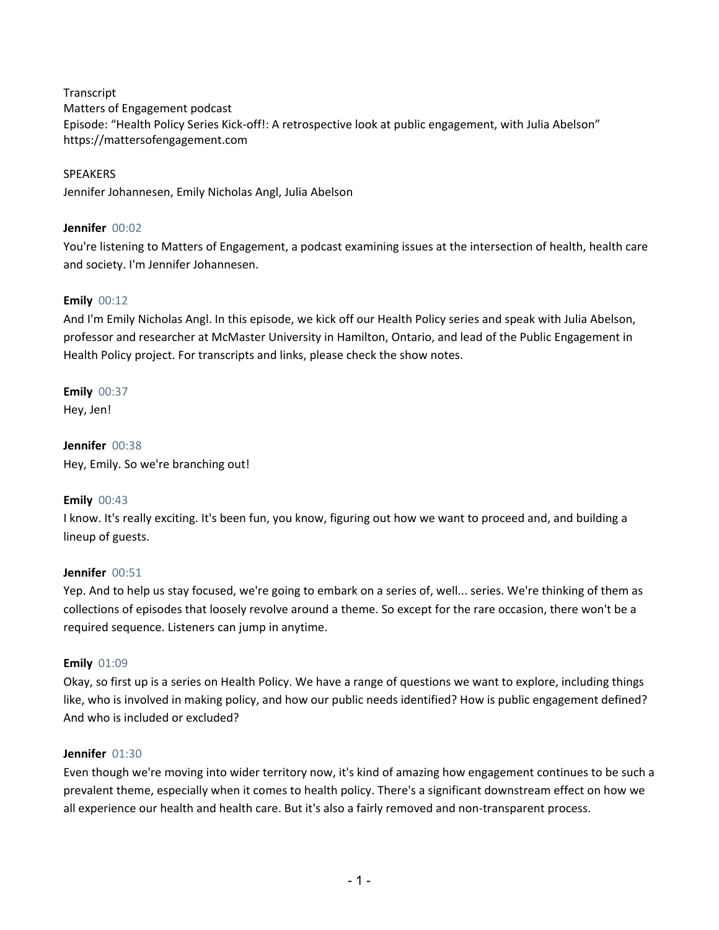**Transcript** 

Matters of Engagement podcast Episode: "Health Policy Series Kick-off!: A retrospective look at public engagement, with Julia Abelson" https://mattersofengagement.com

SPEAKERS Jennifer Johannesen, Emily Nicholas Angl, Julia Abelson

# **Jennifer** 00:02

You're listening to Matters of Engagement, a podcast examining issues at the intersection of health, health care and society. I'm Jennifer Johannesen.

# **Emily** 00:12

And I'm Emily Nicholas Angl. In this episode, we kick off our Health Policy series and speak with Julia Abelson, professor and researcher at McMaster University in Hamilton, Ontario, and lead of the Public Engagement in Health Policy project. For transcripts and links, please check the show notes.

**Emily** 00:37 Hey, Jen!

**Jennifer** 00:38 Hey, Emily. So we're branching out!

# **Emily** 00:43

I know. It's really exciting. It's been fun, you know, figuring out how we want to proceed and, and building a lineup of guests.

# **Jennifer** 00:51

Yep. And to help us stay focused, we're going to embark on a series of, well... series. We're thinking of them as collections of episodes that loosely revolve around a theme. So except for the rare occasion, there won't be a required sequence. Listeners can jump in anytime.

# **Emily** 01:09

Okay, so first up is a series on Health Policy. We have a range of questions we want to explore, including things like, who is involved in making policy, and how our public needs identified? How is public engagement defined? And who is included or excluded?

# **Jennifer** 01:30

Even though we're moving into wider territory now, it's kind of amazing how engagement continues to be such a prevalent theme, especially when it comes to health policy. There's a significant downstream effect on how we all experience our health and health care. But it's also a fairly removed and non-transparent process.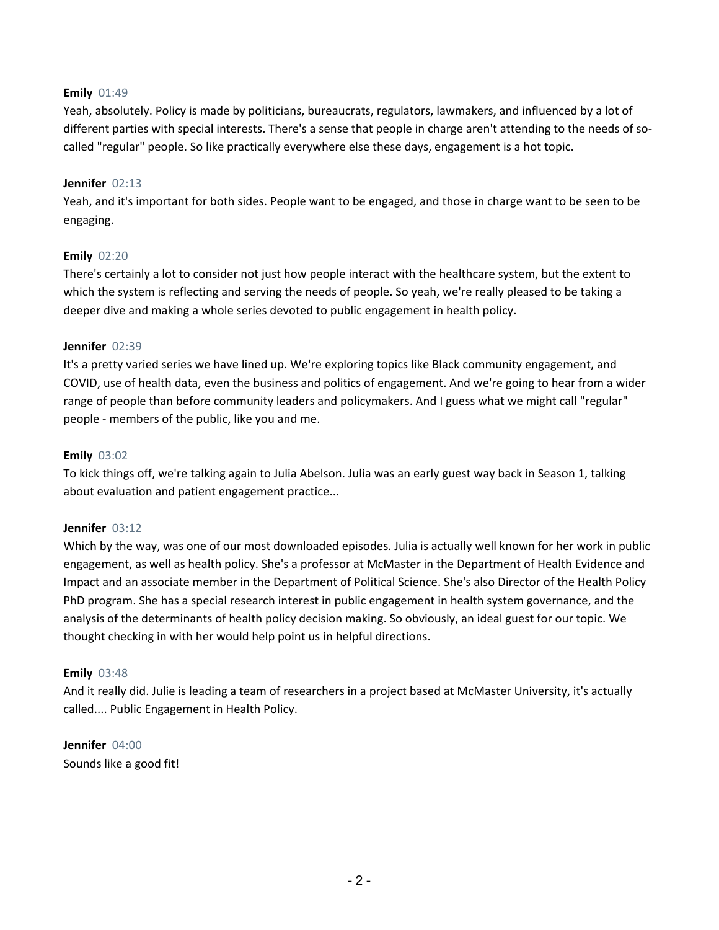# **Emily** 01:49

Yeah, absolutely. Policy is made by politicians, bureaucrats, regulators, lawmakers, and influenced by a lot of different parties with special interests. There's a sense that people in charge aren't attending to the needs of socalled "regular" people. So like practically everywhere else these days, engagement is a hot topic.

## **Jennifer** 02:13

Yeah, and it's important for both sides. People want to be engaged, and those in charge want to be seen to be engaging.

## **Emily** 02:20

There's certainly a lot to consider not just how people interact with the healthcare system, but the extent to which the system is reflecting and serving the needs of people. So yeah, we're really pleased to be taking a deeper dive and making a whole series devoted to public engagement in health policy.

## **Jennifer** 02:39

It's a pretty varied series we have lined up. We're exploring topics like Black community engagement, and COVID, use of health data, even the business and politics of engagement. And we're going to hear from a wider range of people than before community leaders and policymakers. And I guess what we might call "regular" people - members of the public, like you and me.

## **Emily** 03:02

To kick things off, we're talking again to Julia Abelson. Julia was an early guest way back in Season 1, talking about evaluation and patient engagement practice...

### **Jennifer** 03:12

Which by the way, was one of our most downloaded episodes. Julia is actually well known for her work in public engagement, as well as health policy. She's a professor at McMaster in the Department of Health Evidence and Impact and an associate member in the Department of Political Science. She's also Director of the Health Policy PhD program. She has a special research interest in public engagement in health system governance, and the analysis of the determinants of health policy decision making. So obviously, an ideal guest for our topic. We thought checking in with her would help point us in helpful directions.

### **Emily** 03:48

And it really did. Julie is leading a team of researchers in a project based at McMaster University, it's actually called.... Public Engagement in Health Policy.

# **Jennifer** 04:00 Sounds like a good fit!

- 2 -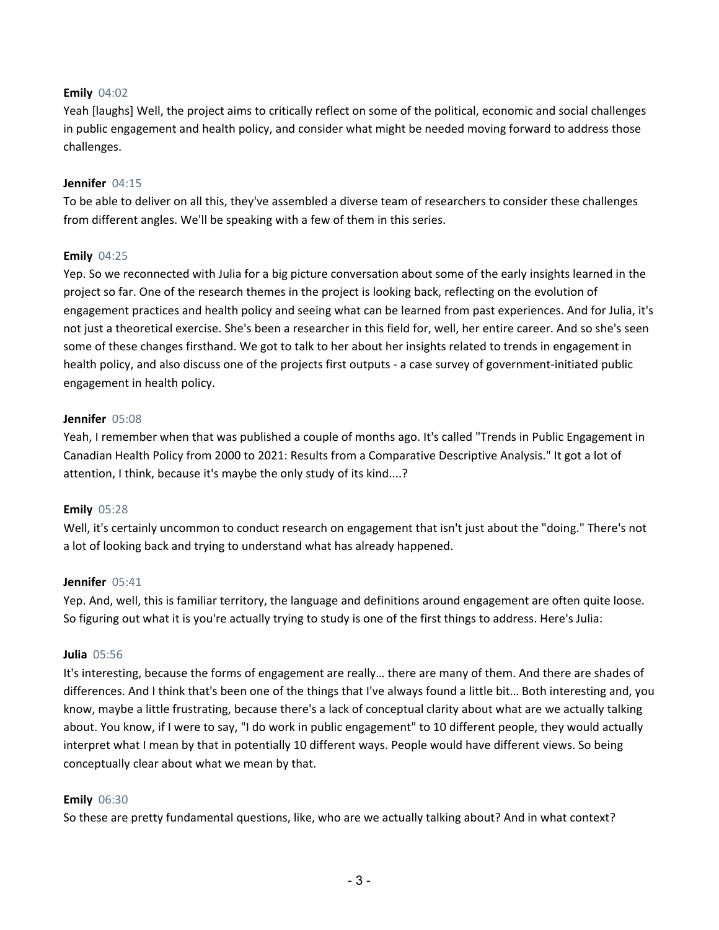## **Emily** 04:02

Yeah [laughs] Well, the project aims to critically reflect on some of the political, economic and social challenges in public engagement and health policy, and consider what might be needed moving forward to address those challenges.

### **Jennifer** 04:15

To be able to deliver on all this, they've assembled a diverse team of researchers to consider these challenges from different angles. We'll be speaking with a few of them in this series.

## **Emily** 04:25

Yep. So we reconnected with Julia for a big picture conversation about some of the early insights learned in the project so far. One of the research themes in the project is looking back, reflecting on the evolution of engagement practices and health policy and seeing what can be learned from past experiences. And for Julia, it's not just a theoretical exercise. She's been a researcher in this field for, well, her entire career. And so she's seen some of these changes firsthand. We got to talk to her about her insights related to trends in engagement in health policy, and also discuss one of the projects first outputs - a case survey of government-initiated public engagement in health policy.

### **Jennifer** 05:08

Yeah, I remember when that was published a couple of months ago. It's called "Trends in Public Engagement in Canadian Health Policy from 2000 to 2021: Results from a Comparative Descriptive Analysis." It got a lot of attention, I think, because it's maybe the only study of its kind....?

# **Emily** 05:28

Well, it's certainly uncommon to conduct research on engagement that isn't just about the "doing." There's not a lot of looking back and trying to understand what has already happened.

### **Jennifer** 05:41

Yep. And, well, this is familiar territory, the language and definitions around engagement are often quite loose. So figuring out what it is you're actually trying to study is one of the first things to address. Here's Julia:

### **Julia** 05:56

It's interesting, because the forms of engagement are really… there are many of them. And there are shades of differences. And I think that's been one of the things that I've always found a little bit… Both interesting and, you know, maybe a little frustrating, because there's a lack of conceptual clarity about what are we actually talking about. You know, if I were to say, "I do work in public engagement" to 10 different people, they would actually interpret what I mean by that in potentially 10 different ways. People would have different views. So being conceptually clear about what we mean by that.

### **Emily** 06:30

So these are pretty fundamental questions, like, who are we actually talking about? And in what context?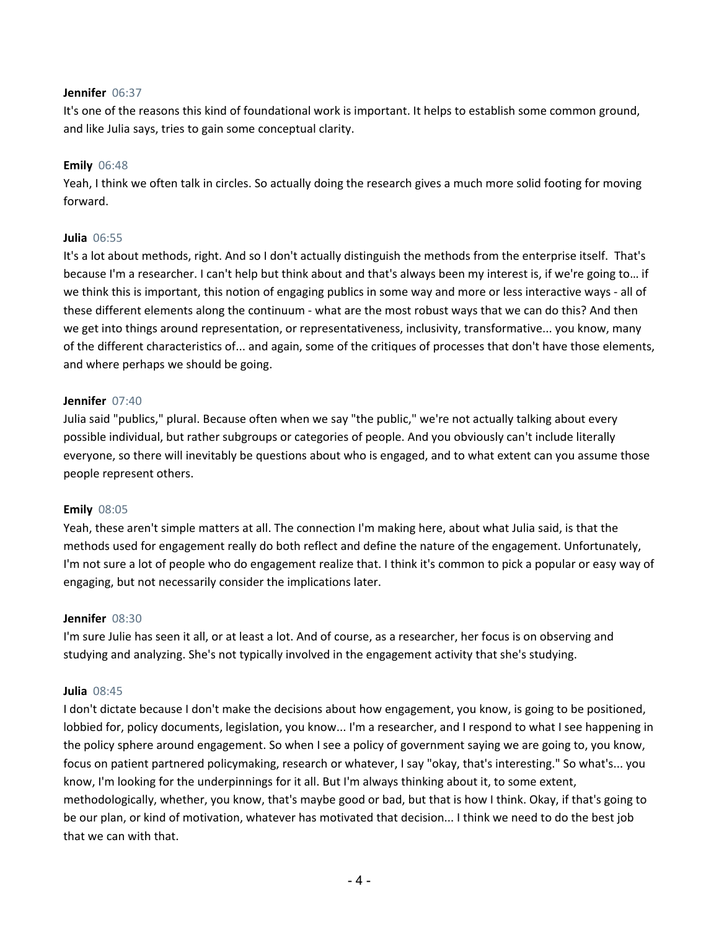## **Jennifer** 06:37

It's one of the reasons this kind of foundational work is important. It helps to establish some common ground, and like Julia says, tries to gain some conceptual clarity.

## **Emily** 06:48

Yeah, I think we often talk in circles. So actually doing the research gives a much more solid footing for moving forward.

## **Julia** 06:55

It's a lot about methods, right. And so I don't actually distinguish the methods from the enterprise itself. That's because I'm a researcher. I can't help but think about and that's always been my interest is, if we're going to… if we think this is important, this notion of engaging publics in some way and more or less interactive ways - all of these different elements along the continuum - what are the most robust ways that we can do this? And then we get into things around representation, or representativeness, inclusivity, transformative... you know, many of the different characteristics of... and again, some of the critiques of processes that don't have those elements, and where perhaps we should be going.

## **Jennifer** 07:40

Julia said "publics," plural. Because often when we say "the public," we're not actually talking about every possible individual, but rather subgroups or categories of people. And you obviously can't include literally everyone, so there will inevitably be questions about who is engaged, and to what extent can you assume those people represent others.

# **Emily** 08:05

Yeah, these aren't simple matters at all. The connection I'm making here, about what Julia said, is that the methods used for engagement really do both reflect and define the nature of the engagement. Unfortunately, I'm not sure a lot of people who do engagement realize that. I think it's common to pick a popular or easy way of engaging, but not necessarily consider the implications later.

# **Jennifer** 08:30

I'm sure Julie has seen it all, or at least a lot. And of course, as a researcher, her focus is on observing and studying and analyzing. She's not typically involved in the engagement activity that she's studying.

### **Julia** 08:45

I don't dictate because I don't make the decisions about how engagement, you know, is going to be positioned, lobbied for, policy documents, legislation, you know... I'm a researcher, and I respond to what I see happening in the policy sphere around engagement. So when I see a policy of government saying we are going to, you know, focus on patient partnered policymaking, research or whatever, I say "okay, that's interesting." So what's... you know, I'm looking for the underpinnings for it all. But I'm always thinking about it, to some extent, methodologically, whether, you know, that's maybe good or bad, but that is how I think. Okay, if that's going to be our plan, or kind of motivation, whatever has motivated that decision... I think we need to do the best job that we can with that.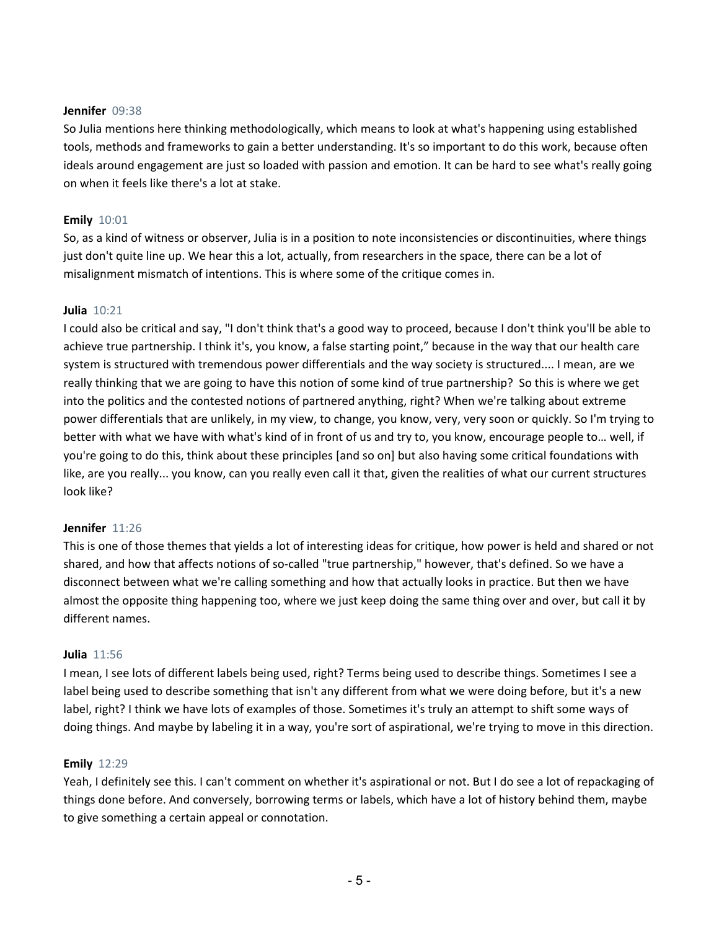### **Jennifer** 09:38

So Julia mentions here thinking methodologically, which means to look at what's happening using established tools, methods and frameworks to gain a better understanding. It's so important to do this work, because often ideals around engagement are just so loaded with passion and emotion. It can be hard to see what's really going on when it feels like there's a lot at stake.

## **Emily** 10:01

So, as a kind of witness or observer, Julia is in a position to note inconsistencies or discontinuities, where things just don't quite line up. We hear this a lot, actually, from researchers in the space, there can be a lot of misalignment mismatch of intentions. This is where some of the critique comes in.

### **Julia** 10:21

I could also be critical and say, "I don't think that's a good way to proceed, because I don't think you'll be able to achieve true partnership. I think it's, you know, a false starting point," because in the way that our health care system is structured with tremendous power differentials and the way society is structured.... I mean, are we really thinking that we are going to have this notion of some kind of true partnership? So this is where we get into the politics and the contested notions of partnered anything, right? When we're talking about extreme power differentials that are unlikely, in my view, to change, you know, very, very soon or quickly. So I'm trying to better with what we have with what's kind of in front of us and try to, you know, encourage people to… well, if you're going to do this, think about these principles [and so on] but also having some critical foundations with like, are you really... you know, can you really even call it that, given the realities of what our current structures look like?

### **Jennifer** 11:26

This is one of those themes that yields a lot of interesting ideas for critique, how power is held and shared or not shared, and how that affects notions of so-called "true partnership," however, that's defined. So we have a disconnect between what we're calling something and how that actually looks in practice. But then we have almost the opposite thing happening too, where we just keep doing the same thing over and over, but call it by different names.

### **Julia** 11:56

I mean, I see lots of different labels being used, right? Terms being used to describe things. Sometimes I see a label being used to describe something that isn't any different from what we were doing before, but it's a new label, right? I think we have lots of examples of those. Sometimes it's truly an attempt to shift some ways of doing things. And maybe by labeling it in a way, you're sort of aspirational, we're trying to move in this direction.

### **Emily** 12:29

Yeah, I definitely see this. I can't comment on whether it's aspirational or not. But I do see a lot of repackaging of things done before. And conversely, borrowing terms or labels, which have a lot of history behind them, maybe to give something a certain appeal or connotation.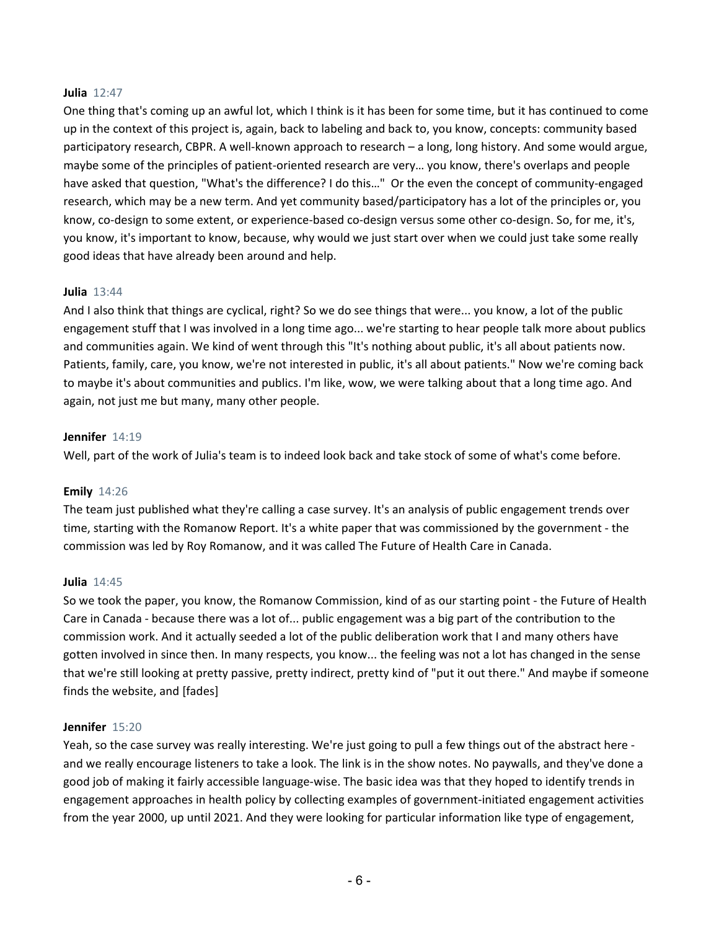### **Julia** 12:47

One thing that's coming up an awful lot, which I think is it has been for some time, but it has continued to come up in the context of this project is, again, back to labeling and back to, you know, concepts: community based participatory research, CBPR. A well-known approach to research – a long, long history. And some would argue, maybe some of the principles of patient-oriented research are very… you know, there's overlaps and people have asked that question, "What's the difference? I do this…" Or the even the concept of community-engaged research, which may be a new term. And yet community based/participatory has a lot of the principles or, you know, co-design to some extent, or experience-based co-design versus some other co-design. So, for me, it's, you know, it's important to know, because, why would we just start over when we could just take some really good ideas that have already been around and help.

## **Julia** 13:44

And I also think that things are cyclical, right? So we do see things that were... you know, a lot of the public engagement stuff that I was involved in a long time ago... we're starting to hear people talk more about publics and communities again. We kind of went through this "It's nothing about public, it's all about patients now. Patients, family, care, you know, we're not interested in public, it's all about patients." Now we're coming back to maybe it's about communities and publics. I'm like, wow, we were talking about that a long time ago. And again, not just me but many, many other people.

## **Jennifer** 14:19

Well, part of the work of Julia's team is to indeed look back and take stock of some of what's come before.

### **Emily** 14:26

The team just published what they're calling a case survey. It's an analysis of public engagement trends over time, starting with the Romanow Report. It's a white paper that was commissioned by the government - the commission was led by Roy Romanow, and it was called The Future of Health Care in Canada.

### **Julia** 14:45

So we took the paper, you know, the Romanow Commission, kind of as our starting point - the Future of Health Care in Canada - because there was a lot of... public engagement was a big part of the contribution to the commission work. And it actually seeded a lot of the public deliberation work that I and many others have gotten involved in since then. In many respects, you know... the feeling was not a lot has changed in the sense that we're still looking at pretty passive, pretty indirect, pretty kind of "put it out there." And maybe if someone finds the website, and [fades]

### **Jennifer** 15:20

Yeah, so the case survey was really interesting. We're just going to pull a few things out of the abstract here and we really encourage listeners to take a look. The link is in the show notes. No paywalls, and they've done a good job of making it fairly accessible language-wise. The basic idea was that they hoped to identify trends in engagement approaches in health policy by collecting examples of government-initiated engagement activities from the year 2000, up until 2021. And they were looking for particular information like type of engagement,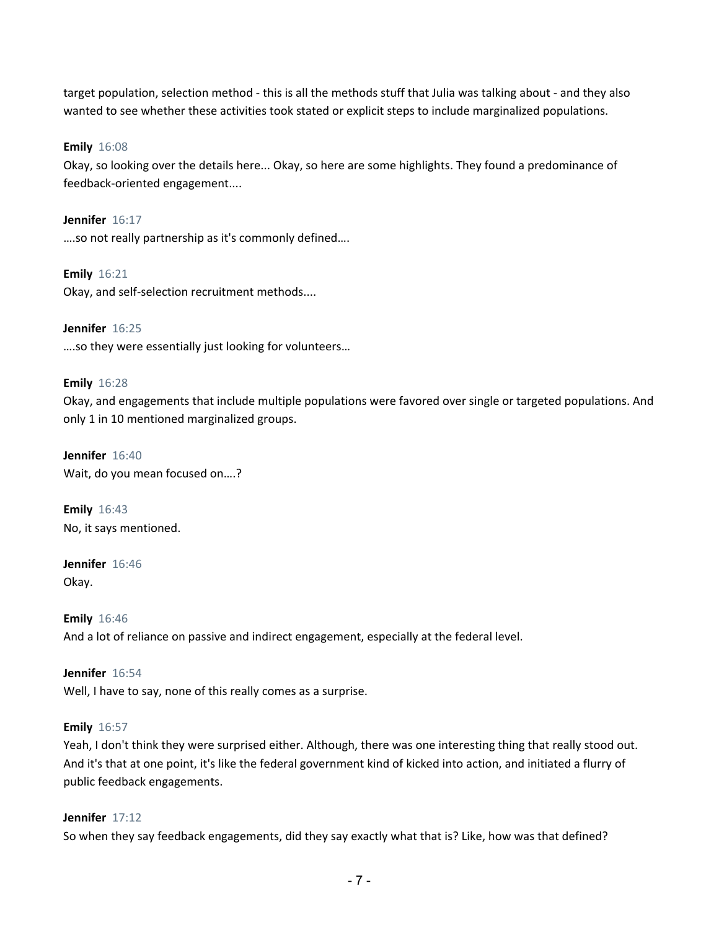target population, selection method - this is all the methods stuff that Julia was talking about - and they also wanted to see whether these activities took stated or explicit steps to include marginalized populations.

**Emily** 16:08

Okay, so looking over the details here... Okay, so here are some highlights. They found a predominance of feedback-oriented engagement....

**Jennifer** 16:17 ….so not really partnership as it's commonly defined….

**Emily** 16:21 Okay, and self-selection recruitment methods....

**Jennifer** 16:25 ….so they were essentially just looking for volunteers…

# **Emily** 16:28

Okay, and engagements that include multiple populations were favored over single or targeted populations. And only 1 in 10 mentioned marginalized groups.

**Jennifer** 16:40 Wait, do you mean focused on….?

**Emily** 16:43 No, it says mentioned.

**Jennifer** 16:46 Okay.

**Emily** 16:46 And a lot of reliance on passive and indirect engagement, especially at the federal level.

**Jennifer** 16:54 Well, I have to say, none of this really comes as a surprise.

# **Emily** 16:57

Yeah, I don't think they were surprised either. Although, there was one interesting thing that really stood out. And it's that at one point, it's like the federal government kind of kicked into action, and initiated a flurry of public feedback engagements.

# **Jennifer** 17:12

So when they say feedback engagements, did they say exactly what that is? Like, how was that defined?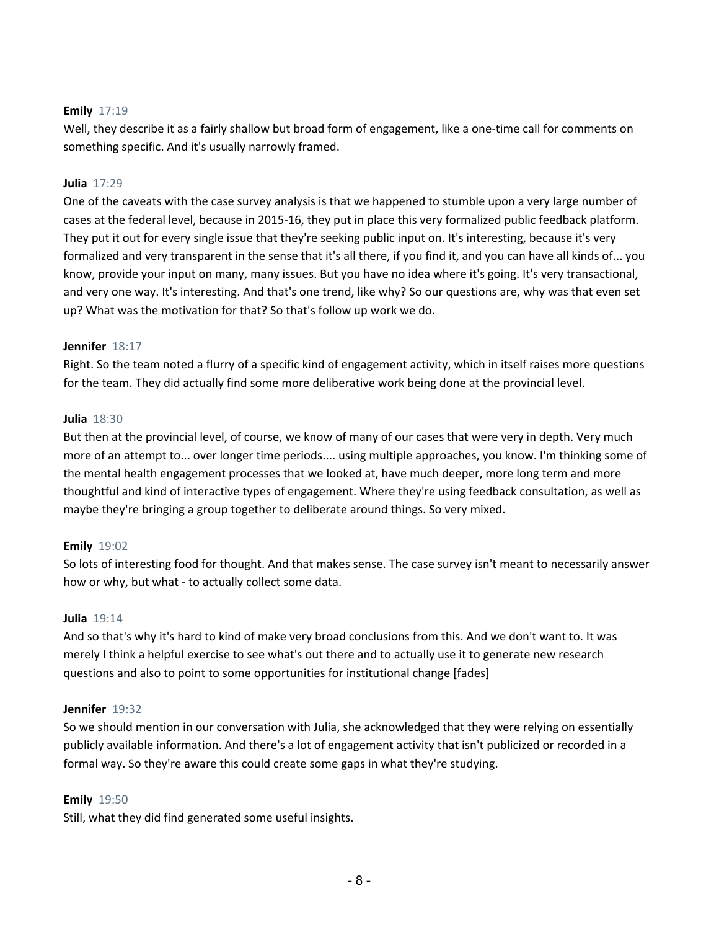# **Emily** 17:19

Well, they describe it as a fairly shallow but broad form of engagement, like a one-time call for comments on something specific. And it's usually narrowly framed.

## **Julia** 17:29

One of the caveats with the case survey analysis is that we happened to stumble upon a very large number of cases at the federal level, because in 2015-16, they put in place this very formalized public feedback platform. They put it out for every single issue that they're seeking public input on. It's interesting, because it's very formalized and very transparent in the sense that it's all there, if you find it, and you can have all kinds of... you know, provide your input on many, many issues. But you have no idea where it's going. It's very transactional, and very one way. It's interesting. And that's one trend, like why? So our questions are, why was that even set up? What was the motivation for that? So that's follow up work we do.

## **Jennifer** 18:17

Right. So the team noted a flurry of a specific kind of engagement activity, which in itself raises more questions for the team. They did actually find some more deliberative work being done at the provincial level.

# **Julia** 18:30

But then at the provincial level, of course, we know of many of our cases that were very in depth. Very much more of an attempt to... over longer time periods.... using multiple approaches, you know. I'm thinking some of the mental health engagement processes that we looked at, have much deeper, more long term and more thoughtful and kind of interactive types of engagement. Where they're using feedback consultation, as well as maybe they're bringing a group together to deliberate around things. So very mixed.

# **Emily** 19:02

So lots of interesting food for thought. And that makes sense. The case survey isn't meant to necessarily answer how or why, but what - to actually collect some data.

### **Julia** 19:14

And so that's why it's hard to kind of make very broad conclusions from this. And we don't want to. It was merely I think a helpful exercise to see what's out there and to actually use it to generate new research questions and also to point to some opportunities for institutional change [fades]

### **Jennifer** 19:32

So we should mention in our conversation with Julia, she acknowledged that they were relying on essentially publicly available information. And there's a lot of engagement activity that isn't publicized or recorded in a formal way. So they're aware this could create some gaps in what they're studying.

### **Emily** 19:50

Still, what they did find generated some useful insights.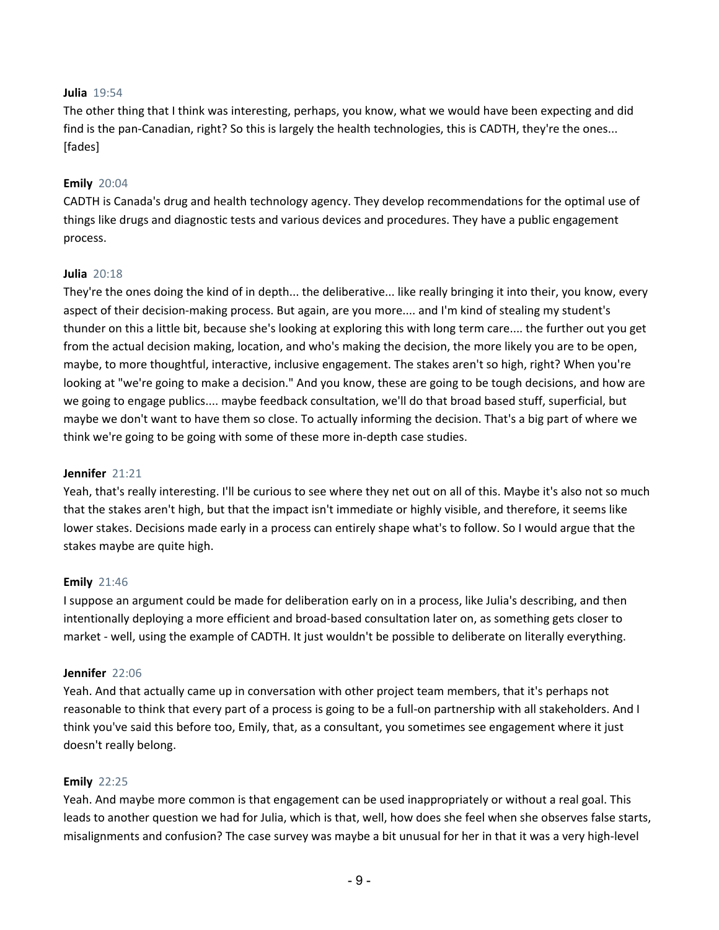# **Julia** 19:54

The other thing that I think was interesting, perhaps, you know, what we would have been expecting and did find is the pan-Canadian, right? So this is largely the health technologies, this is CADTH, they're the ones... [fades]

## **Emily** 20:04

CADTH is Canada's drug and health technology agency. They develop recommendations for the optimal use of things like drugs and diagnostic tests and various devices and procedures. They have a public engagement process.

## **Julia** 20:18

They're the ones doing the kind of in depth... the deliberative... like really bringing it into their, you know, every aspect of their decision-making process. But again, are you more.... and I'm kind of stealing my student's thunder on this a little bit, because she's looking at exploring this with long term care.... the further out you get from the actual decision making, location, and who's making the decision, the more likely you are to be open, maybe, to more thoughtful, interactive, inclusive engagement. The stakes aren't so high, right? When you're looking at "we're going to make a decision." And you know, these are going to be tough decisions, and how are we going to engage publics.... maybe feedback consultation, we'll do that broad based stuff, superficial, but maybe we don't want to have them so close. To actually informing the decision. That's a big part of where we think we're going to be going with some of these more in-depth case studies.

### **Jennifer** 21:21

Yeah, that's really interesting. I'll be curious to see where they net out on all of this. Maybe it's also not so much that the stakes aren't high, but that the impact isn't immediate or highly visible, and therefore, it seems like lower stakes. Decisions made early in a process can entirely shape what's to follow. So I would argue that the stakes maybe are quite high.

### **Emily** 21:46

I suppose an argument could be made for deliberation early on in a process, like Julia's describing, and then intentionally deploying a more efficient and broad-based consultation later on, as something gets closer to market - well, using the example of CADTH. It just wouldn't be possible to deliberate on literally everything.

### **Jennifer** 22:06

Yeah. And that actually came up in conversation with other project team members, that it's perhaps not reasonable to think that every part of a process is going to be a full-on partnership with all stakeholders. And I think you've said this before too, Emily, that, as a consultant, you sometimes see engagement where it just doesn't really belong.

### **Emily** 22:25

Yeah. And maybe more common is that engagement can be used inappropriately or without a real goal. This leads to another question we had for Julia, which is that, well, how does she feel when she observes false starts, misalignments and confusion? The case survey was maybe a bit unusual for her in that it was a very high-level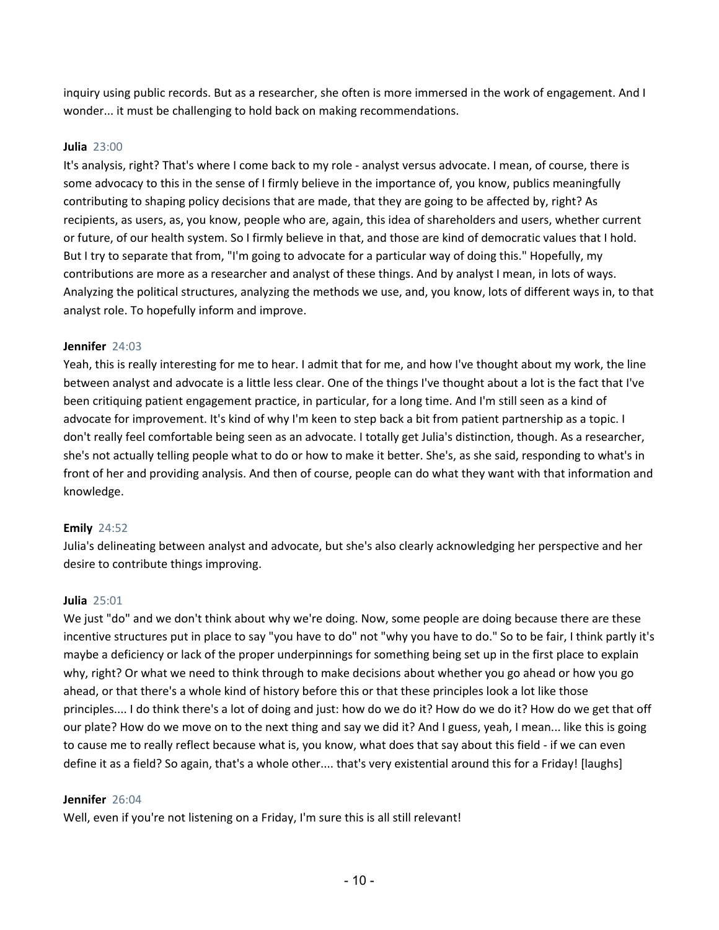inquiry using public records. But as a researcher, she often is more immersed in the work of engagement. And I wonder... it must be challenging to hold back on making recommendations.

# **Julia** 23:00

It's analysis, right? That's where I come back to my role - analyst versus advocate. I mean, of course, there is some advocacy to this in the sense of I firmly believe in the importance of, you know, publics meaningfully contributing to shaping policy decisions that are made, that they are going to be affected by, right? As recipients, as users, as, you know, people who are, again, this idea of shareholders and users, whether current or future, of our health system. So I firmly believe in that, and those are kind of democratic values that I hold. But I try to separate that from, "I'm going to advocate for a particular way of doing this." Hopefully, my contributions are more as a researcher and analyst of these things. And by analyst I mean, in lots of ways. Analyzing the political structures, analyzing the methods we use, and, you know, lots of different ways in, to that analyst role. To hopefully inform and improve.

# **Jennifer** 24:03

Yeah, this is really interesting for me to hear. I admit that for me, and how I've thought about my work, the line between analyst and advocate is a little less clear. One of the things I've thought about a lot is the fact that I've been critiquing patient engagement practice, in particular, for a long time. And I'm still seen as a kind of advocate for improvement. It's kind of why I'm keen to step back a bit from patient partnership as a topic. I don't really feel comfortable being seen as an advocate. I totally get Julia's distinction, though. As a researcher, she's not actually telling people what to do or how to make it better. She's, as she said, responding to what's in front of her and providing analysis. And then of course, people can do what they want with that information and knowledge.

# **Emily** 24:52

Julia's delineating between analyst and advocate, but she's also clearly acknowledging her perspective and her desire to contribute things improving.

# **Julia** 25:01

We just "do" and we don't think about why we're doing. Now, some people are doing because there are these incentive structures put in place to say "you have to do" not "why you have to do." So to be fair, I think partly it's maybe a deficiency or lack of the proper underpinnings for something being set up in the first place to explain why, right? Or what we need to think through to make decisions about whether you go ahead or how you go ahead, or that there's a whole kind of history before this or that these principles look a lot like those principles.... I do think there's a lot of doing and just: how do we do it? How do we do it? How do we get that off our plate? How do we move on to the next thing and say we did it? And I guess, yeah, I mean... like this is going to cause me to really reflect because what is, you know, what does that say about this field - if we can even define it as a field? So again, that's a whole other.... that's very existential around this for a Friday! [laughs]

# **Jennifer** 26:04

Well, even if you're not listening on a Friday, I'm sure this is all still relevant!